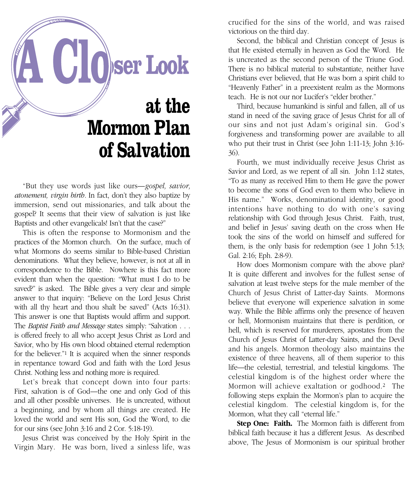

"But they use words just like ours—*gospel, savior, atonement, virgin birth.* In fact, don't they also baptize by immersion, send out missionaries, and talk about the gospel? It seems that their view of salvation is just like Baptists and other evangelicals! Isn't that the case?"

This is often the response to Mormonism and the practices of the Mormon church. On the surface, much of what Mormons do seems similar to Bible-based Christian denominations. What they believe, however, is not at all in correspondence to the Bible. Nowhere is this fact more evident than when the question: "What must I do to be saved?" is asked. The Bible gives a very clear and simple answer to that inquiry: "Believe on the Lord Jesus Christ with all thy heart and thou shalt be saved" (Acts 16:31). This answer is one that Baptists would affirm and support. The *Baptist Faith and Message* states simply: "Salvation . . . is offered freely to all who accept Jesus Christ as Lord and Savior, who by His own blood obtained eternal redemption for the believer."1 It is acquired when the sinner responds in repentance toward God and faith with the Lord Jesus Christ. Nothing less and nothing more is required.

Let's break that concept down into four parts: First, salvation is of God—the one and only God of this and all other possible universes. He is uncreated, without a beginning, and by whom all things are created. He loved the world and sent His son, God the Word, to die for our sins (see John 3:16 and 2 Cor. 5:18-19).

Jesus Christ was conceived by the Holy Spirit in the Virgin Mary. He was born, lived a sinless life, was

crucified for the sins of the world, and was raised victorious on the third day.

Second, the biblical and Christian concept of Jesus is that He existed eternally in heaven as God the Word. He is uncreated as the second person of the Triune God. There is no biblical material to substantiate, neither have Christians ever believed, that He was born a spirit child to "Heavenly Father" in a preexistent realm as the Mormons teach. He is not our nor Lucifer's "elder brother."

Third, because humankind is sinful and fallen, all of us stand in need of the saving grace of Jesus Christ for all of our sins and not just Adam's original sin. God's forgiveness and transforming power are available to all who put their trust in Christ (see John 1:11-13; John 3:16- 36).

Fourth, we must individually receive Jesus Christ as Savior and Lord, as we repent of all sin. John 1:12 states, "To as many as received Him to them He gave the power to become the sons of God even to them who believe in His name." Works, denominational identity, or good intentions have nothing to do with one's saving relationship with God through Jesus Christ. Faith, trust, and belief in Jesus' saving death on the cross when He took the sins of the world on himself and suffered for them, is the only basis for redemption (see 1 John 5:13; Gal. 2:16; Eph. 2:8-9).

How does Mormonism compare with the above plan? It is quite different and involves for the fullest sense of salvation at least twelve steps for the male member of the Church of Jesus Christ of Latter-day Saints. Mormons believe that everyone will experience salvation in some way. While the Bible affirms only the presence of heaven or hell, Mormonism maintains that there is perdition, or hell, which is reserved for murderers, apostates from the Church of Jesus Christ of Latter-day Saints, and the Devil and his angels. Mormon theology also maintains the existence of three heavens, all of them superior to this life—the celestial, terrestrial, and telestial kingdoms. The celestial kingdom is of the highest order where the Mormon will achieve exaltation or godhood.2 The following steps explain the Mormon's plan to acquire the celestial kingdom. The celestial kingdom is, for the Mormon, what they call "eternal life."

**Step One: Faith.** The Mormon faith is different from biblical faith because it has a different Jesus. As described above, The Jesus of Mormonism is our spiritual brother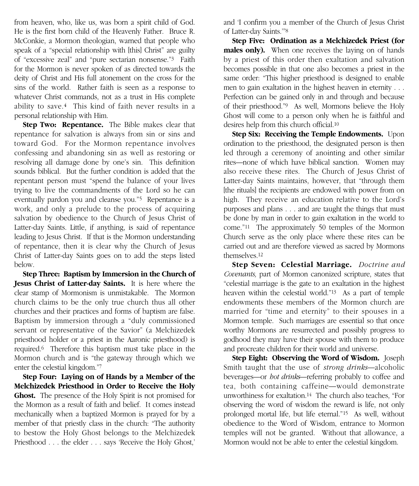from heaven, who, like us, was born a spirit child of God. He is the first born child of the Heavenly Father. Bruce R. McConkie, a Mormon theologian, warned that people who speak of a "special relationship with [this] Christ" are guilty of "excessive zeal" and "pure sectarian nonsense."3 Faith for the Mormon is never spoken of as directed towards the deity of Christ and His full atonement on the cross for the sins of the world. Rather faith is seen as a response to whatever Christ commands, not as a trust in His complete ability to save.4 This kind of faith never results in a personal relationship with Him.

**Step Two: Repentance.** The Bible makes clear that repentance for salvation is always from sin or sins and toward God. For the Mormon repentance involves confessing and abandoning sin as well as restoring or resolving all damage done by one's sin. This definition sounds biblical. But the further condition is added that the repentant person must "spend the balance of your lives trying to live the commandments of the Lord so he can eventually pardon you and cleanse you."5 Repentance is a work, and only a prelude to the process of acquiring salvation by obedience to the Church of Jesus Christ of Latter-day Saints. Little, if anything, is said of repentance leading to Jesus Christ. If that is the Mormon understanding of repentance, then it is clear why the Church of Jesus Christ of Latter-day Saints goes on to add the steps listed below.

**Step Three: Baptism by Immersion in the Church of Jesus Christ of Latter-day Saints.** It is here where the clear stamp of Mormonism is unmistakable. The Mormon church claims to be the only true church thus all other churches and their practices and forms of baptism are false. Baptism by immersion through a "duly commissioned servant or representative of the Savior" (a Melchizedek priesthood holder or a priest in the Aaronic priesthood) is required.6 Therefore this baptism must take place in the Mormon church and is "the gateway through which we enter the celestial kingdom."7

**Step Four: Laying on of Hands by a Member of the Melchizedek Priesthood in Order to Receive the Holy Ghost.** The presence of the Holy Spirit is not promised for the Mormon as a result of faith and belief. It comes instead mechanically when a baptized Mormon is prayed for by a member of that priestly class in the church: "The authority to bestow the Holy Ghost belongs to the Melchizedek Priesthood . . . the elder . . . says 'Receive the Holy Ghost,'

and 'I confirm you a member of the Church of Jesus Christ of Latter-day Saints.'"8

**Step Five: Ordination as a Melchizedek Priest (for males only).** When one receives the laying on of hands by a priest of this order then exaltation and salvation becomes possible in that one also becomes a priest in the same order: "This higher priesthood is designed to enable men to gain exaltation in the highest heaven in eternity . . . Perfection can be gained only in and through and because of their priesthood."9 As well, Mormons believe the Holy Ghost will come to a person only when he is faithful and desires help from this church official.10

**Step Six: Receiving the Temple Endowments.** Upon ordination to the priesthood, the designated person is then led through a ceremony of anointing and other similar rites—none of which have biblical sanction. Women may also receive these rites. The Church of Jesus Christ of Latter-day Saints maintains, however, that "through them [the rituals] the recipients are endowed with power from on high. They receive an education relative to the Lord's purposes and plans . . . and are taught the things that must be done by man in order to gain exaltation in the world to come."11 The approximately 50 temples of the Mormon Church serve as the only place where these rites can be carried out and are therefore viewed as sacred by Mormons themselves.12

**Step Seven: Celestial Marriage.** *Doctrine and Covenants,* part of Mormon canonized scripture, states that "celestial marriage is the gate to an exaltation in the highest heaven within the celestial world."13 As a part of temple endowments these members of the Mormon church are married for "time and eternity" to their spouses in a Mormon temple. Such marriages are essential so that once worthy Mormons are resurrected and possibly progress to godhood they may have their spouse with them to produce and procreate children for their world and universe.

**Step Eight: Observing the Word of Wisdom.** Joseph Smith taught that the use of *strong drinks*—alcoholic beverages—or *hot drinks*—referring probably to coffee and tea, both containing caffeine—would demonstrate unworthiness for exaltation.14 The church also teaches, "For observing the word of wisdom the reward is life, not only prolonged mortal life, but life eternal."15 As well, without obedience to the Word of Wisdom, entrance to Mormon temples will not be granted. Without that allowance, a Mormon would not be able to enter the celestial kingdom.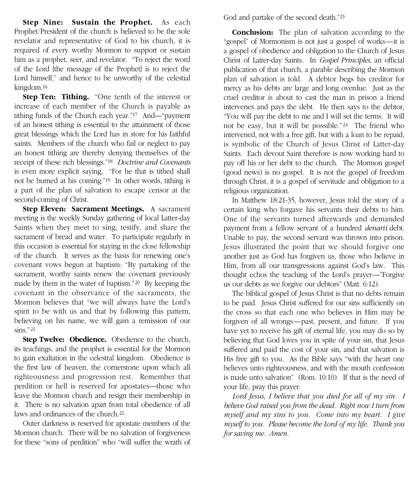**Step Nine: Sustain the Prophet.** As each Prophet/President of the church is believed to be the sole revelator and representative of God to his church, it is required of every worthy Mormon to support or sustain him as a prophet, seer, and revelator. "To reject the word of the Lord [the message of the Prophet] is to reject the Lord himself," and hence to be unworthy of the celestial kingdom.16

**Step Ten: Tithing.** "One tenth of the interest or increase of each member of the Church is payable as tithing funds of the Church each year."17 And—"payment of an honest tithing is essential to the attainment of those great blessings which the Lord has in store for his faithful saints. Members of the church who fail or neglect to pay an honest tithing are thereby denying themselves of the receipt of these rich blessings."18 *Doctrine and Covenants* is even more explicit saying, "For he that is tithed shall not be burned at his coming."19 In other words, tithing is a part of the plan of salvation to escape censor at the second-coming of Christ.

**Step Eleven: Sacrament Meetings.** A sacrament meeting is the weekly Sunday gathering of local Latter-day Saints when they meet to sing, testify, and share the sacrament of bread and water. To participate regularly in this occasion is essential for staying in the close fellowship of the church. It serves as the basis for renewing one's covenant vows begun at baptism: "By partaking of the sacrament, worthy saints renew the covenant previously made by them in the water of baptism."20 By keeping the covenant in the observance of the sacraments, the Mormon believes that "we will always have the Lord's spirit to be with us and that by following this pattern, believing on his name, we will gain a remission of our sins."<sup>21</sup>

**Step Twelve: Obedience.** Obedience to the church, its teachings, and the prophet is essential for the Mormon to gain exaltation in the celestral kingdom. Obedience is the first law of heaven, the cornerstone upon which all righteousness and progression rest. Remember that perdition or hell is reserved for apostates—those who leave the Mormon church and resign their membership in it. There is no salvation apart from total obedience of all laws and ordinances of the church.<sup>22</sup>

Outer darkness is reserved for apostate members of the Mormon church. There will be no salvation of forgiveness for these "sons of perdition" who "will suffer the wrath of God and partake of the second death."23

**Conclusion:** The plan of salvation according to the "gospel" of Mormonism is not just a gospel of works—it is a gospel of obedience and obligation to the Church of Jesus Christ of Latter-day Saints. In *Gospel Principles,* an official publication of that church, a parable describing the Mormon plan of salvation is told. A debtor begs his creditor for mercy as his debts are large and long overdue. Just as the cruel creditor is about to cast the man in prison a friend intervenes and pays the debt. He then says to the debtor, "You will pay the debt to me and I will set the terms. It will not be easy, but it will be possible." <sup>24</sup> The friend who intervened, not with a free gift, but with a loan to be repaid, is symbolic of the Church of Jesus Christ of Latter-day Saints. Each devout Saint therefore is now working hard to pay off his or her debt to the church. The Mormon gospel (good news) is no gospel. It is not the gospel of freedom through Christ, it is a gospel of servitude and obligation to a religious organization.

In Matthew 18:21-35, however, Jesus told the story of a certain king who forgave his servants their debts to him. One of the servants turned afterwards and demanded payment from a fellow servant of a hundred *denarii* debt. Unable to pay, the second servant was thrown into prison. Jesus illustrated the point that we should forgive one another just as God has forgiven us, those who believe in Him, from all our transgressions against God's law. This thought echos the teaching of the Lord's prayer—"Forgive us our debts as we forgive our debtors" (Matt. 6:12).

The biblical gospel of Jesus Christ is that no debts remain to be paid. Jesus Christ suffered for our sins sufficiently on the cross so that each one who believes in Him may be forgiven of all wrongs—past, present, and future. If you have yet to receive his gift of eternal life, you may do so by believing that God loves you in spite of your sin, that Jesus suffered and paid the cost of your sin, and that salvation is His free gift to you. As the Bible says "with the heart one believes unto righteousness, and with the mouth confession is made unto salvation" (Rom. 10:10). If that is the need of your life, pray this prayer:

*Lord Jesus, I believe that you died for all of my sin. I believe God raised you from the dead. Right now I turn from myself and my sins to you. Come into my heart. I give myself to you. Please become the Lord of my life. Thank you for saving me. Amen.*